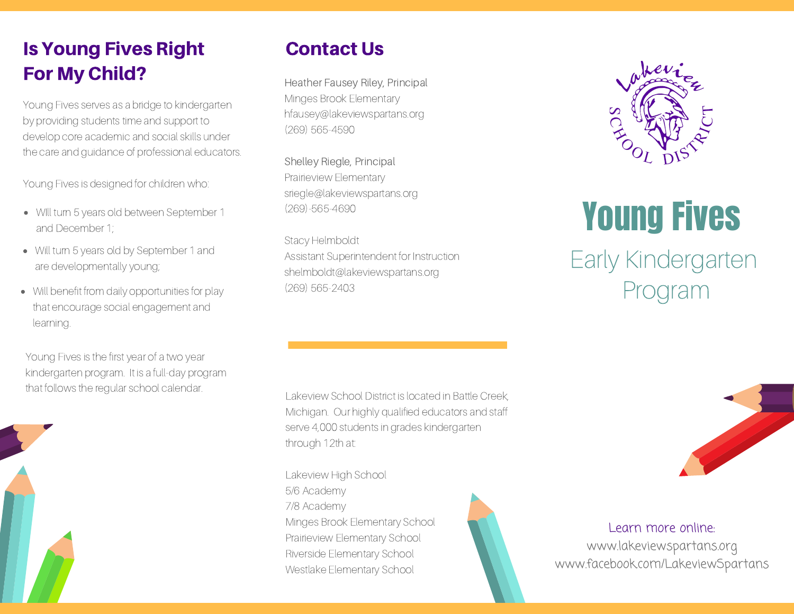# Is Young Fives Right For My Child?

Young Fives serves as a bridge to kindergarten by providing students time and support to develop core academic and social skills under the care and guidance of professional educators.

Young Fives is designed for children who:

- Will turn 5 years old between September 1 and December 1;
- Will turn 5 years old by September 1 and are developmentally young;
- Will benefit from daily opportunities for play that encourage social engagement and learning.

Young Fives is the first year of a two year kindergarten program. It is a full-day program that follows the regular school calendar.



### Contact Us

Heather Fausey Riley, Principal Minges Brook Elementary hfausey@lakeviewspartans.org (269) 565-4590

Shelley Riegle, Principal Prairieview Elementary sriegle@lakeviewspartans.org (269)-565-4690

Stacy Helmboldt Assistant Superintendent for Instruction shelmboldt@lakeviewspartans.org (269) 565-2403

Lakeview School District is located in Battle Creek, Michigan. Our highly qualified educators and staff serve 4,000 students in grades kindergarten through 12th at:

Lakeview High School 5/6 Academy 7/8 Academy Minges Brook Elementary School Prairieview Elementary School Riverside Elementary School Westlake Elementary School





# Young Fives

# Early Kindergarten Program



Learn more online:

www.lakeviewspartans.org www.facebook.com/LakeviewSpartans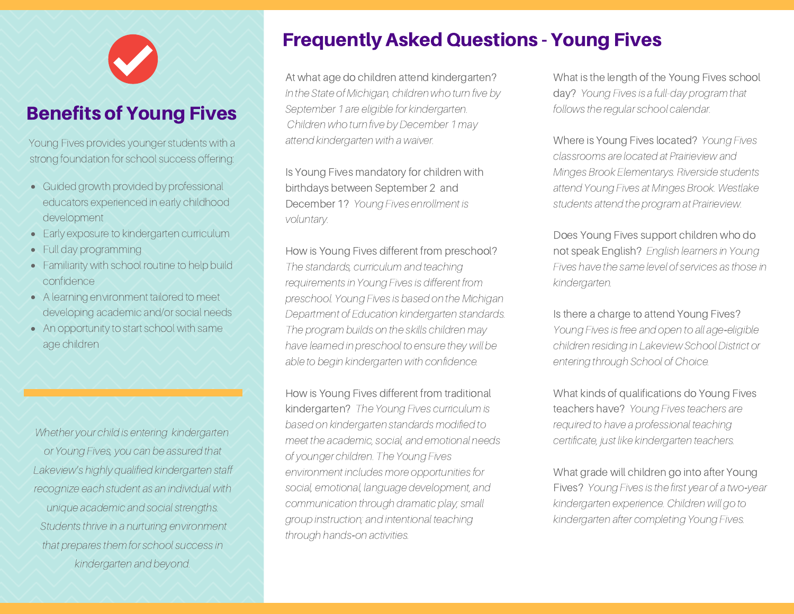# Benefits of Young Fives

Young Fives provides younger students with a strong foundation for school success offering:

- Guided growth provided by professional educators experienced in early childhood development
- Early exposure to kindergarten curriculum
- Full day programming
- Familiarity with school routine to help build confidence
- A learning environment tailored to meet developing academic and/or social needs
- An opportunity to start school with same age children

Whether your child is entering kindergarten or Young Fives, you can be assured that Lakeview's highly qualified kindergarten staff recognize each student as an individual with unique academic and social strengths. Students thrive in a nurturing environment that prepares them for school success in kindergarten and beyond.

# Frequently Asked Questions - Young Fives

At what age do children attend kindergarten? In the State of Michigan, children who turn five by September 1 are eligible for kindergarten. Children who turn five by December 1 may attend kindergarten with a waiver.

Is Young Fives mandatory for children with birthdays between September 2 and December 1? Young Fives enrollment is voluntary.

#### How is Young Fives different from preschool?

The standards, curriculum and teaching requirements in Young Fives is different from preschool. Young Fives is based on the Michigan Department of Education kindergarten standards. The program builds on the skills children may have learned in preschool to ensure they will be able to begin kindergarten with confidence.

How is Young Fives different from traditional kindergarten? The Young Fives curriculum is based on kindergarten standards modified to meet the academic, social, and emotional needs of younger children. The Young Fives environment includes more opportunities for social, emotional, language development, and communication through dramatic play; small group instruction; and intentional teaching through hands*‐*on activities.

What is the length of the Young Fives school day? Young Fives is a full-day program that follows the regular school calendar.

Where is Young Fives located? Young Fives classrooms are located at Prairieview and Minges Brook Elementarys. Riverside students attend Young Fives at Minges Brook. Westlake students attend the program at Prairieview.

#### Does Young Fives support children who do not speak English? English learners in Young Fives have the same level of services as those in kindergarten.

#### Is there a charge to attend Young Fives?

Young Fives is free and open to all age*‐*eligible children residing in Lakeview School District or entering through School of Choice.

What kinds of qualifications do Young Fives teachers have? Young Fives teachers are required to have a professional teaching certificate, just like kindergarten teachers.

#### What grade will children go into after Young

Fives? Young Fives is the first year of a two*‐*year kindergarten experience. Children will go to kindergarten after completing Young Fives.